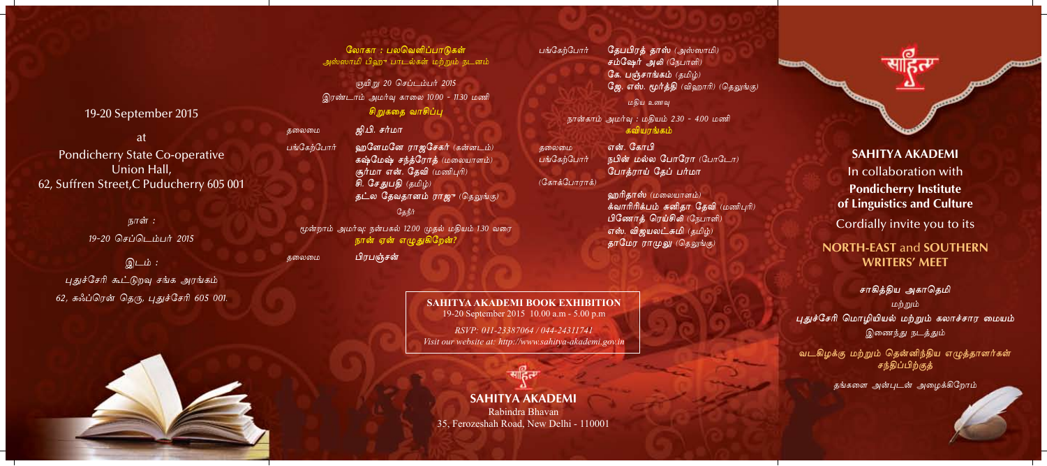19-20 September 2015

at **Pondicherry State Co-operative** Union Hall. 62, Suffren Street, C Puducherry 605 001

> நாள் : 19-20 செப்டெம்பர் 2015

இடம் : புதுச்சேரி கூட்டுறவு சங்க அரங்கம் 62, சுஃப்ரென் தெரு, புதுச்சேரி 605 001.

லோகா : பலவெளிப்பாடுகள் அஸ்ஸாமி பிஹு பாடல்கள் மற்றும் நடனம்

ஞயி*று 20 செப்டம்பர் 2015* இரண்டாம் அமர்வு காலை 10.00 - 11.30 மணி சிறுகதை வாசிப்பு

ஜி.பி. சர்மா

தலைமை

சுலைமை

பங்கேற்போர்

ஹளேமனே ராஜசேகர் (கன்னடம்) கஷ்மேஷ் சந்த்ரோத் (மலையாளம்) சூர்மா என். தேவி (மணிபுரி) சி. சேதுபதி (தமிழ்) தட்ல தேவதானம் ராஜு (தெலுங்கு) கேநீர்

மூன்றாம் அமர்வு: நன்பகல் 12.00 முதல் மதியம் 1.30 வரை நான் ஏன் எழுதுகிறேன்?

பிரபஞ்சன்

SAHITYA AKADEMI BOOK EXHIBITION 19-20 September 2015 10.00 a.m - 5.00 p.m

RSVP: 011-23387064 / 044-24311741 Visit our website at: http://www.sahitya-akademi.gov.in

**SAHITYA AKADEMI** 

Rabindra Bhavan 35, Ferozeshah Road, New Delhi - 110001

பங்கேற்போர் தேபபிரத் தாஸ் (அஸ்ஸாமி) சம்ஷேர் அலி (நேபாளி) கே. பஞ்சாங்கம் (தமிழ்) ஜே. எஸ். மூர்த்தி (விஹாரி) (தெலுங்கு) மதிய உணவு

> நான்காம் அமர்வு : மதியம் 2.30 - 4.00 மணி கவியாங்கம்

என். கோபி தலைமை பங்கேற்போர் நபின் மல்ல போரோ (போடோ) போத்ராய் தேப் பர்மா (கோக்போராக்)

> ஹரிதாஸ் (மலையாளம்) க்வாரிரிக்பம் சுனிதா தேவி (மணிபுரி) பிணோத் ரெய்சிலி (நேபாளி) எஸ். விஜயலட்சுமி (தமிழ்) தாமேர ராமுலு (தெலுங்கு)



**SAHITYA AKADEMI** In collaboration with **Pondicherry Institute** of Linguistics and Culture

Cordially invite you to its

## **NORTH-EAST and SOUTHERN WRITERS' MEET**

சாகித்திய அகாதெமி மற்றும் புதுச்சேரி மொழியியல் மற்றும் கலாச்சார மையம் இணைந்து நடத்தும்

வடகிழக்கு மற்றும் தென்னிந்திய எழுத்தாளர்கள் சந்திப்பிற்குத்

தங்களை அன்புடன் அழைக்கிறோம்